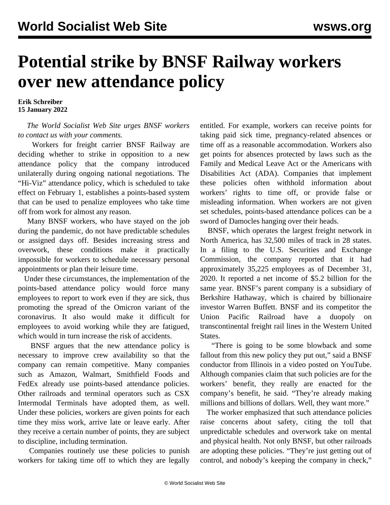## **Potential strike by BNSF Railway workers over new attendance policy**

**Erik Schreiber 15 January 2022**

 *The World Socialist Web Site urges BNSF workers to [contact us with your comments](/en/special/pages/contact.html).* 

 Workers for freight carrier BNSF Railway are deciding whether to strike in opposition to a new attendance policy that the company introduced unilaterally during ongoing national negotiations. The "Hi-Viz" attendance policy, which is scheduled to take effect on February 1, establishes a points-based system that can be used to penalize employees who take time off from work for almost any reason.

 Many BNSF workers, who have stayed on the job during the pandemic, do not have predictable schedules or assigned days off. Besides increasing stress and overwork, these conditions make it practically impossible for workers to schedule necessary personal appointments or plan their leisure time.

 Under these circumstances, the implementation of the points-based attendance policy would force many employees to report to work even if they are sick, thus promoting the spread of the Omicron variant of the coronavirus. It also would make it difficult for employees to avoid working while they are fatigued, which would in turn increase the risk of accidents.

 BNSF argues that the new attendance policy is necessary to improve crew availability so that the company can remain competitive. Many companies such as Amazon, Walmart, Smithfield Foods and FedEx already use points-based attendance policies. Other railroads and terminal operators such as CSX Intermodal Terminals have adopted them, as well. Under these policies, workers are given points for each time they miss work, arrive late or leave early. After they receive a certain number of points, they are subject to discipline, including termination.

 Companies routinely use these policies to punish workers for taking time off to which they are legally entitled. For example, workers can receive points for taking paid sick time, pregnancy-related absences or time off as a reasonable accommodation. Workers also get points for absences protected by laws such as the Family and Medical Leave Act or the Americans with Disabilities Act (ADA). Companies that implement these policies often withhold information about workers' rights to time off, or provide false or misleading information. When workers are not given set schedules, points-based attendance polices can be a sword of Damocles hanging over their heads.

 BNSF, which operates the largest freight network in North America, has 32,500 miles of track in 28 states. In a filing to the U.S. Securities and Exchange Commission, the company reported that it had approximately 35,225 employees as of December 31, 2020. It reported a net income of \$5.2 billion for the same year. BNSF's parent company is a subsidiary of Berkshire Hathaway, which is chaired by billionaire investor Warren Buffett. BNSF and its competitor the Union Pacific Railroad have a duopoly on transcontinental freight rail lines in the Western United States.

 "There is going to be some blowback and some fallout from this new policy they put out," said a BNSF conductor from Illinois in a [video](https://youtu.be/ZG0ry8xg5qM) posted on YouTube. Although companies claim that such policies are for the workers' benefit, they really are enacted for the company's benefit, he said. "They're already making millions and billions of dollars. Well, they want more."

 The worker emphasized that such attendance policies raise concerns about safety, citing the toll that unpredictable schedules and overwork take on mental and physical health. Not only BNSF, but other railroads are adopting these policies. "They're just getting out of control, and nobody's keeping the company in check,"